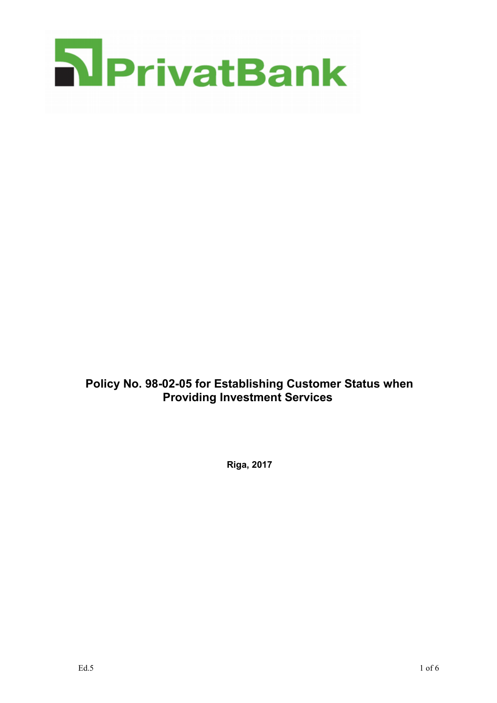

**Policy No. 98-02-05 for Establishing Customer Status when Providing Investment Services** 

**Riga, 2017**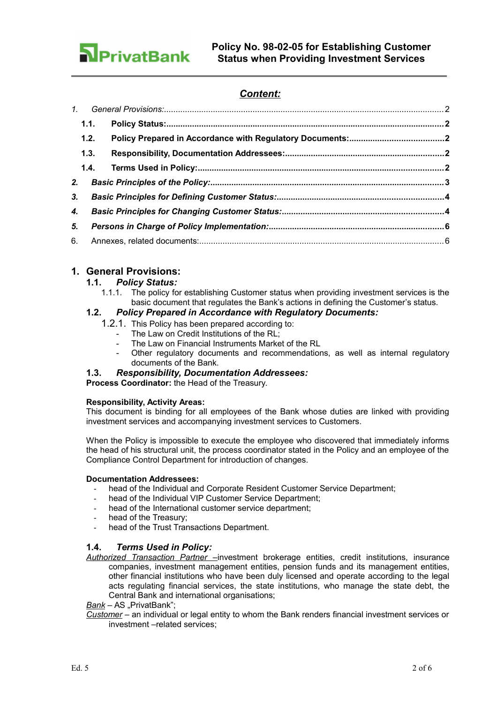

# *Content:*

|                | 1.2. |  |  |
|----------------|------|--|--|
|                | 1.3. |  |  |
|                |      |  |  |
|                |      |  |  |
| 3 <sub>r</sub> |      |  |  |
| 4.             |      |  |  |
| 5.             |      |  |  |
|                |      |  |  |
|                |      |  |  |

## **1. General Provisions:**

## <span id="page-1-4"></span>**1.1.** *Policy Status:*

<span id="page-1-3"></span>1.1.1. The policy for establishing Customer status when providing investment services is the basic document that regulates the Bank's actions in defining the Customer's status.

## **1.2.** *Policy Prepared in Accordance with Regulatory Documents:*

- <span id="page-1-2"></span>1.2.1. This Policy has been prepared according to:
	- The Law on Credit Institutions of the RL;
	- The Law on Financial Instruments Market of the RL
	- Other regulatory documents and recommendations, as well as internal regulatory documents of the Bank.

## <span id="page-1-1"></span>**1.3.** *Responsibility, Documentation Addressees:*

**Process Coordinator:** the Head of the Treasury.

## **Responsibility, Activity Areas:**

This document is binding for all employees of the Bank whose duties are linked with providing investment services and accompanying investment services to Customers.

When the Policy is impossible to execute the employee who discovered that immediately informs the head of his structural unit, the process coordinator stated in the Policy and an employee of the Compliance Control Department for introduction of changes.

## **Documentation Addressees:**

- head of the Individual and Corporate Resident Customer Service Department;
- head of the Individual VIP Customer Service Department;
- head of the International customer service department;
- head of the Treasury:
- <span id="page-1-0"></span>head of the Trust Transactions Department.

## **1.4.** *Terms Used in Policy:*

*Authorized Transaction Partner –*investment brokerage entities, credit institutions, insurance companies, investment management entities, pension funds and its management entities, other financial institutions who have been duly licensed and operate according to the legal acts regulating financial services, the state institutions, who manage the state debt, the Central Bank and international organisations;

**Bank** – AS "PrivatBank";

*Customer* – an individual or legal entity to whom the Bank renders financial investment services or investment –related services;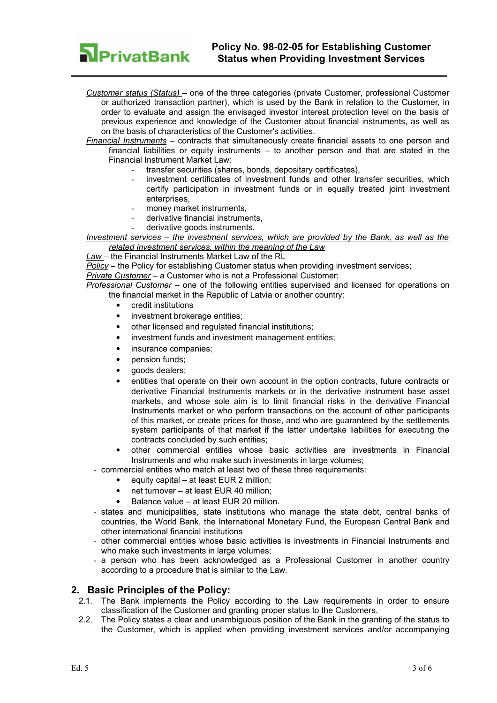

*Customer status (Status)* – one of the three categories (private Customer, professional Customer or authorized transaction partner), which is used by the Bank in relation to the Customer, in order to evaluate and assign the envisaged investor interest protection level on the basis of previous experience and knowledge of the Customer about financial instruments, as well as on the basis of characteristics of the Customer's activities.

*Financial Instruments* – contracts that simultaneously create financial assets to one person and financial liabilities or equity instruments – to another person and that are stated in the Financial Instrument Market Law:

- transfer securities (shares, bonds, depositary certificates),
- investment certificates of investment funds and other transfer securities, which certify participation in investment funds or in equally treated joint investment enterprises,
- money market instruments.
- derivative financial instruments.
- derivative goods instruments.

*Investment services – the investment services, which are provided by the Bank, as well as the related investment services, within the meaning of the Law*

*Law* – the Financial Instruments Market Law of the RL

*Policy* – the Policy for establishing Customer status when providing investment services;

*Private Customer* – a Customer who is not a Professional Customer;

*Professional Customer* – one of the following entities supervised and licensed for operations on the financial market in the Republic of Latvia or another country:

- credit institutions
- investment brokerage entities:
- other licensed and regulated financial institutions;
- investment funds and investment management entities;
- insurance companies;
- pension funds;
- goods dealers;
- entities that operate on their own account in the option contracts, future contracts or derivative Financial Instruments markets or in the derivative instrument base asset markets, and whose sole aim is to limit financial risks in the derivative Financial Instruments market or who perform transactions on the account of other participants of this market, or create prices for those, and who are guaranteed by the settlements system participants of that market if the latter undertake liabilities for executing the contracts concluded by such entities;
- other commercial entities whose basic activities are investments in Financial Instruments and who make such investments in large volumes;
- commercial entities who match at least two of these three requirements:
	- equity capital at least EUR 2 million:
	- net turnover at least EUR 40 million:
	- Balance value at least EUR 20 million.
- states and municipalities, state institutions who manage the state debt, central banks of countries, the World Bank, the International Monetary Fund, the European Central Bank and other international financial institutions
- other commercial entities whose basic activities is investments in Financial Instruments and who make such investments in large volumes:
- a person who has been acknowledged as a Professional Customer in another country according to a procedure that is similar to the Law.

## **2. Basic Principles of the Policy:**

- <span id="page-2-0"></span>2.1. The Bank implements the Policy according to the Law requirements in order to ensure classification of the Customer and granting proper status to the Customers.
- 2.2. The Policy states a clear and unambiguous position of the Bank in the granting of the status to the Customer, which is applied when providing investment services and/or accompanying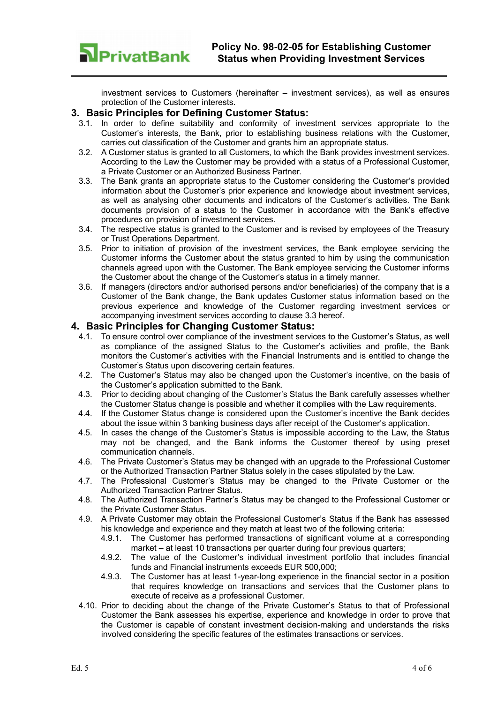

investment services to Customers (hereinafter – investment services), as well as ensures protection of the Customer interests.

## **3. Basic Principles for Defining Customer Status:**

- <span id="page-3-1"></span>3.1. In order to define suitability and conformity of investment services appropriate to the Customer's interests, the Bank, prior to establishing business relations with the Customer, carries out classification of the Customer and grants him an appropriate status.
- 3.2. A Customer status is granted to all Customers, to which the Bank provides investment services. According to the Law the Customer may be provided with a status of a Professional Customer, a Private Customer or an Authorized Business Partner.
- 3.3. The Bank grants an appropriate status to the Customer considering the Customer's provided information about the Customer's prior experience and knowledge about investment services, as well as analysing other documents and indicators of the Customer's activities. The Bank documents provision of a status to the Customer in accordance with the Bank's effective procedures on provision of investment services.
- 3.4. The respective status is granted to the Customer and is revised by employees of the Treasury or Trust Operations Department.
- 3.5. Prior to initiation of provision of the investment services, the Bank employee servicing the Customer informs the Customer about the status granted to him by using the communication channels agreed upon with the Customer. The Bank employee servicing the Customer informs the Customer about the change of the Customer's status in a timely manner.
- 3.6. If managers (directors and/or authorised persons and/or beneficiaries) of the company that is a Customer of the Bank change, the Bank updates Customer status information based on the previous experience and knowledge of the Customer regarding investment services or accompanying investment services according to clause 3.3 hereof.

## **4. Basic Principles for Changing Customer Status:**

- <span id="page-3-0"></span>4.1. To ensure control over compliance of the investment services to the Customer's Status, as well as compliance of the assigned Status to the Customer's activities and profile, the Bank monitors the Customer's activities with the Financial Instruments and is entitled to change the Customer's Status upon discovering certain features.
- 4.2. The Customer's Status may also be changed upon the Customer's incentive, on the basis of the Customer's application submitted to the Bank.
- 4.3. Prior to deciding about changing of the Customer's Status the Bank carefully assesses whether the Customer Status change is possible and whether it complies with the Law requirements.
- 4.4. If the Customer Status change is considered upon the Customer's incentive the Bank decides about the issue within 3 banking business days after receipt of the Customer's application.
- 4.5. In cases the change of the Customer's Status is impossible according to the Law, the Status may not be changed, and the Bank informs the Customer thereof by using preset communication channels.
- 4.6. The Private Customer's Status may be changed with an upgrade to the Professional Customer or the Authorized Transaction Partner Status solely in the cases stipulated by the Law.
- 4.7. The Professional Customer's Status may be changed to the Private Customer or the Authorized Transaction Partner Status.
- 4.8. The Authorized Transaction Partner's Status may be changed to the Professional Customer or the Private Customer Status.
- 4.9. A Private Customer may obtain the Professional Customer's Status if the Bank has assessed his knowledge and experience and they match at least two of the following criteria:
	- 4.9.1. The Customer has performed transactions of significant volume at a corresponding market – at least 10 transactions per quarter during four previous quarters;
	- 4.9.2. The value of the Customer's individual investment portfolio that includes financial funds and Financial instruments exceeds EUR 500,000;
	- 4.9.3. The Customer has at least 1-year-long experience in the financial sector in a position that requires knowledge on transactions and services that the Customer plans to execute of receive as a professional Customer.
- 4.10. Prior to deciding about the change of the Private Customer's Status to that of Professional Customer the Bank assesses his expertise, experience and knowledge in order to prove that the Customer is capable of constant investment decision-making and understands the risks involved considering the specific features of the estimates transactions or services.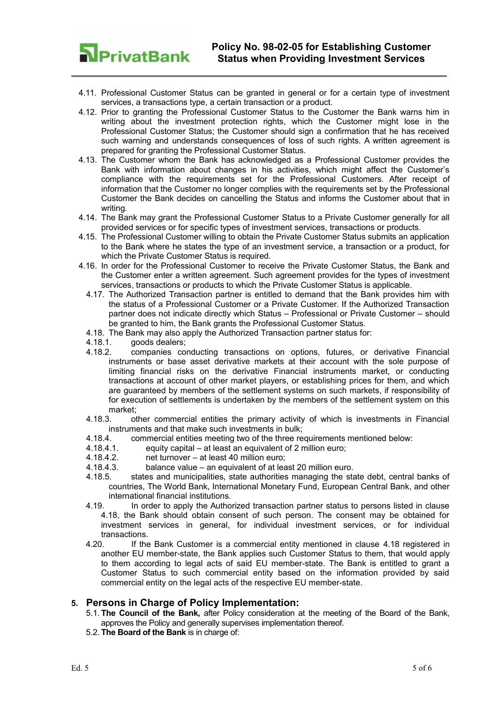

- 4.11. Professional Customer Status can be granted in general or for a certain type of investment services, a transactions type, a certain transaction or a product.
- 4.12. Prior to granting the Professional Customer Status to the Customer the Bank warns him in writing about the investment protection rights, which the Customer might lose in the Professional Customer Status; the Customer should sign a confirmation that he has received such warning and understands consequences of loss of such rights. A written agreement is prepared for granting the Professional Customer Status.
- 4.13. The Customer whom the Bank has acknowledged as a Professional Customer provides the Bank with information about changes in his activities, which might affect the Customer's compliance with the requirements set for the Professional Customers. After receipt of information that the Customer no longer complies with the requirements set by the Professional Customer the Bank decides on cancelling the Status and informs the Customer about that in writing.
- 4.14. The Bank may grant the Professional Customer Status to a Private Customer generally for all provided services or for specific types of investment services, transactions or products.
- 4.15. The Professional Customer willing to obtain the Private Customer Status submits an application to the Bank where he states the type of an investment service, a transaction or a product, for which the Private Customer Status is required.
- <span id="page-4-1"></span>4.16. In order for the Professional Customer to receive the Private Customer Status, the Bank and the Customer enter a written agreement. Such agreement provides for the types of investment services, transactions or products to which the Private Customer Status is applicable.
	- 4.17. The Authorized Transaction partner is entitled to demand that the Bank provides him with the status of a Professional Customer or a Private Customer. If the Authorized Transaction partner does not indicate directly which Status – Professional or Private Customer – should be granted to him, the Bank grants the Professional Customer Status.
	- 4.18. The Bank may also apply the Authorized Transaction partner status for:
	- 4.18.1. goods dealers;
	- 4.18.2. companies conducting transactions on options, futures, or derivative Financial instruments or base asset derivative markets at their account with the sole purpose of limiting financial risks on the derivative Financial instruments market, or conducting transactions at account of other market players, or establishing prices for them, and which are guaranteed by members of the settlement systems on such markets, if responsibility of for execution of settlements is undertaken by the members of the settlement system on this market;
	- 4.18.3. other commercial entities the primary activity of which is investments in Financial instruments and that make such investments in bulk;
	- 4.18.4. commercial entities meeting two of the three requirements mentioned below:
	- 4.18.4.1. equity capital at least an equivalent of 2 million euro;
	- 4.18.4.2. net turnover at least 40 million euro;
	- 4.18.4.3. balance value an equivalent of at least 20 million euro.
	- 4.18.5. states and municipalities, state authorities managing the state debt, central banks of countries, The World Bank, International Monetary Fund, European Central Bank, and other international financial institutions.
	- 4.19. In order to apply the Authorized transaction partner status to persons listed in clause [4.18,](#page-4-1) the Bank should obtain consent of such person. The consent may be obtained for investment services in general, for individual investment services, or for individual transactions.
	- 4.20. If the Bank Customer is a commercial entity mentioned in clause [4.18](#page-4-1) registered in another EU member-state, the Bank applies such Customer Status to them, that would apply to them according to legal acts of said EU member-state. The Bank is entitled to grant a Customer Status to such commercial entity based on the information provided by said commercial entity on the legal acts of the respective EU member-state.

## **5. Persons in Charge of Policy Implementation:**

- <span id="page-4-0"></span>5.1. **The Council of the Bank,** after Policy consideration at the meeting of the Board of the Bank, approves the Policy and generally supervises implementation thereof.
- 5.2. **The Board of the Bank** is in charge of: